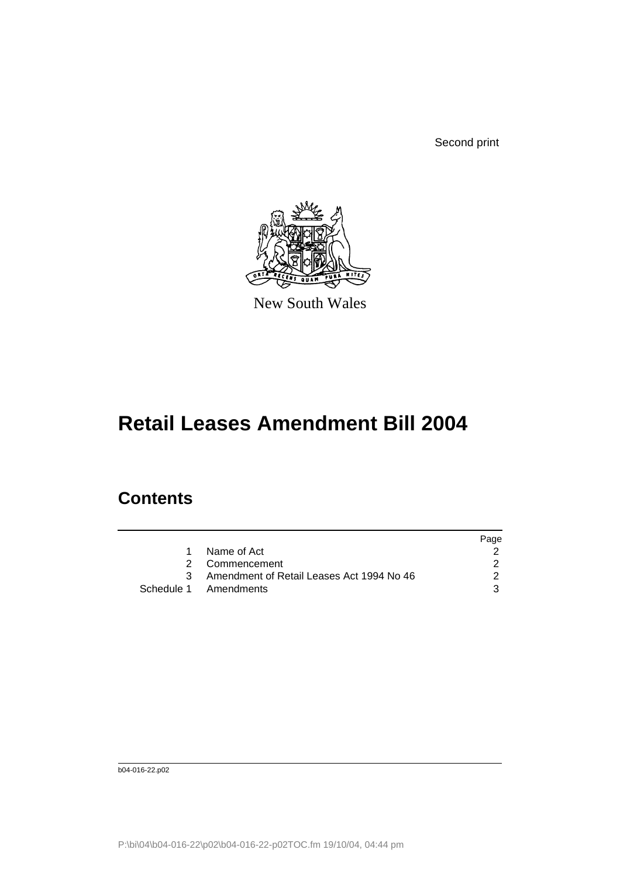Second print



New South Wales

# **Retail Leases Amendment Bill 2004**

## **Contents**

|   |                                             | Page |
|---|---------------------------------------------|------|
| 1 | Name of Act                                 |      |
|   | 2 Commencement                              |      |
|   | 3 Amendment of Retail Leases Act 1994 No 46 | 2    |
|   | Schedule 1 Amendments                       | 3    |

b04-016-22.p02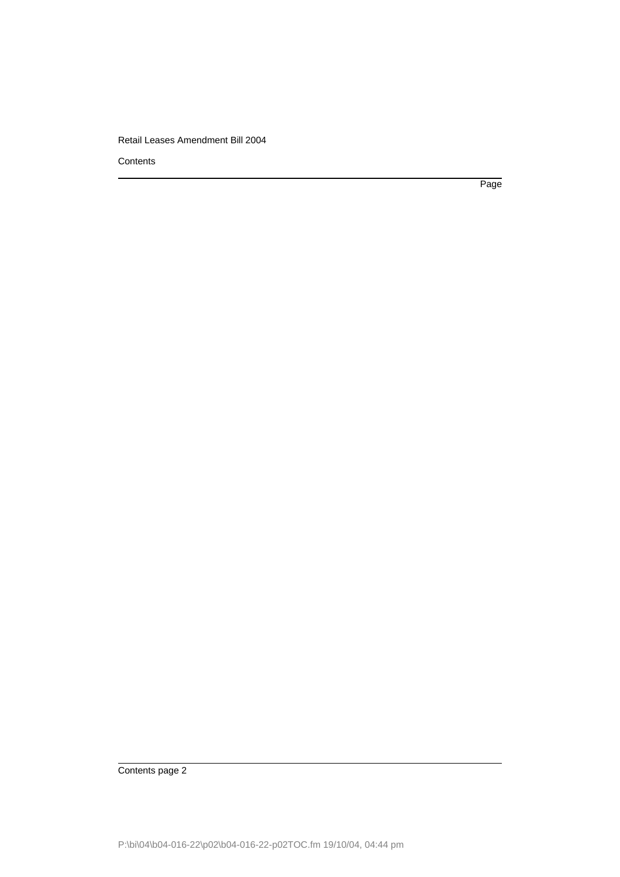**Contents** 

Page

Contents page 2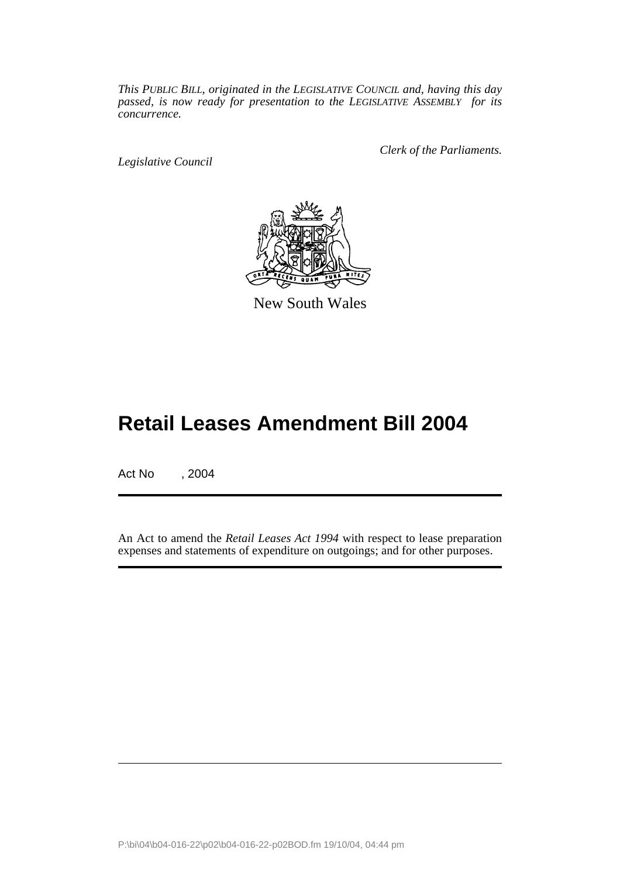*This PUBLIC BILL, originated in the LEGISLATIVE COUNCIL and, having this day passed, is now ready for presentation to the LEGISLATIVE ASSEMBLY for its concurrence.*

*Legislative Council*

*Clerk of the Parliaments.*



New South Wales

## **Retail Leases Amendment Bill 2004**

Act No , 2004

An Act to amend the *Retail Leases Act 1994* with respect to lease preparation expenses and statements of expenditure on outgoings; and for other purposes.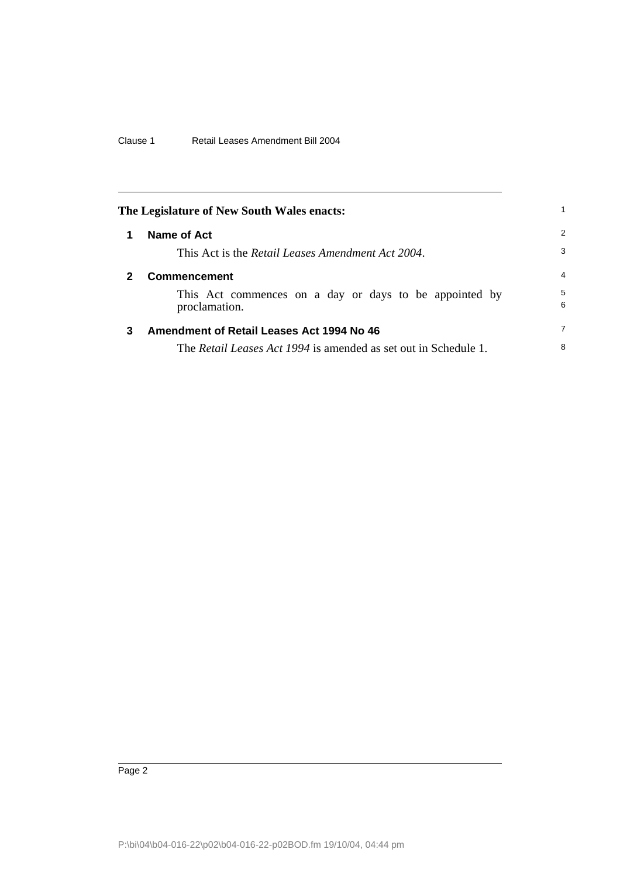| The Legislature of New South Wales enacts: |                                                                         |        |
|--------------------------------------------|-------------------------------------------------------------------------|--------|
| 1                                          | Name of Act                                                             | 2      |
|                                            | This Act is the Retail Leases Amendment Act 2004.                       | 3      |
| 2                                          | <b>Commencement</b>                                                     | 4      |
|                                            | This Act commences on a day or days to be appointed by<br>proclamation. | 5<br>6 |
| 3                                          | Amendment of Retail Leases Act 1994 No 46                               | 7      |
|                                            | The <i>Retail Leases Act 1994</i> is amended as set out in Schedule 1.  | 8      |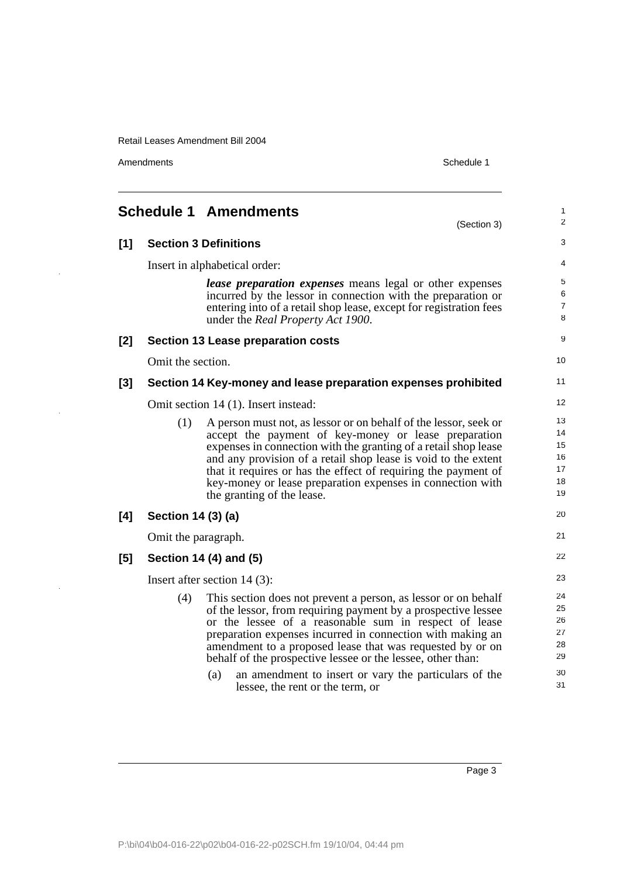Amendments Schedule 1

 $\ddot{\phantom{0}}$ 

 $\ddot{\phantom{a}}$ 

|     |                     | <b>Schedule 1 Amendments</b><br>(Section 3)                                                                                                                                                                                                                                                                                                                                                                                                        | $\mathbf{1}$<br>$\overline{2}$         |
|-----|---------------------|----------------------------------------------------------------------------------------------------------------------------------------------------------------------------------------------------------------------------------------------------------------------------------------------------------------------------------------------------------------------------------------------------------------------------------------------------|----------------------------------------|
| [1] |                     | <b>Section 3 Definitions</b>                                                                                                                                                                                                                                                                                                                                                                                                                       | 3                                      |
|     |                     | Insert in alphabetical order:                                                                                                                                                                                                                                                                                                                                                                                                                      | 4                                      |
|     |                     | <i>lease preparation expenses</i> means legal or other expenses<br>incurred by the lessor in connection with the preparation or<br>entering into of a retail shop lease, except for registration fees<br>under the <i>Real Property Act 1900</i> .                                                                                                                                                                                                 | 5<br>6<br>7<br>8                       |
| [2] |                     | <b>Section 13 Lease preparation costs</b>                                                                                                                                                                                                                                                                                                                                                                                                          | 9                                      |
|     | Omit the section.   |                                                                                                                                                                                                                                                                                                                                                                                                                                                    | 10                                     |
| [3] |                     | Section 14 Key-money and lease preparation expenses prohibited                                                                                                                                                                                                                                                                                                                                                                                     | 11                                     |
|     |                     | Omit section 14 (1). Insert instead:                                                                                                                                                                                                                                                                                                                                                                                                               | 12 <sup>2</sup>                        |
|     | (1)                 | A person must not, as lessor or on behalf of the lessor, seek or<br>accept the payment of key-money or lease preparation<br>expenses in connection with the granting of a retail shop lease<br>and any provision of a retail shop lease is void to the extent<br>that it requires or has the effect of requiring the payment of<br>key-money or lease preparation expenses in connection with<br>the granting of the lease.                        | 13<br>14<br>15<br>16<br>17<br>18<br>19 |
| [4] | Section 14 (3) (a)  |                                                                                                                                                                                                                                                                                                                                                                                                                                                    | 20                                     |
|     | Omit the paragraph. |                                                                                                                                                                                                                                                                                                                                                                                                                                                    | 21                                     |
| [5] |                     | Section 14 (4) and (5)                                                                                                                                                                                                                                                                                                                                                                                                                             | 22                                     |
|     |                     | Insert after section $14(3)$ :                                                                                                                                                                                                                                                                                                                                                                                                                     | 23                                     |
|     | (4)                 | This section does not prevent a person, as lessor or on behalf<br>of the lessor, from requiring payment by a prospective lessee<br>or the lessee of a reasonable sum in respect of lease<br>preparation expenses incurred in connection with making an<br>amendment to a proposed lease that was requested by or on<br>behalf of the prospective lessee or the lessee, other than:<br>an amendment to insert or vary the particulars of the<br>(a) | 24<br>25<br>26<br>27<br>28<br>29<br>30 |
|     |                     | lessee, the rent or the term, or                                                                                                                                                                                                                                                                                                                                                                                                                   | 31                                     |

Page 3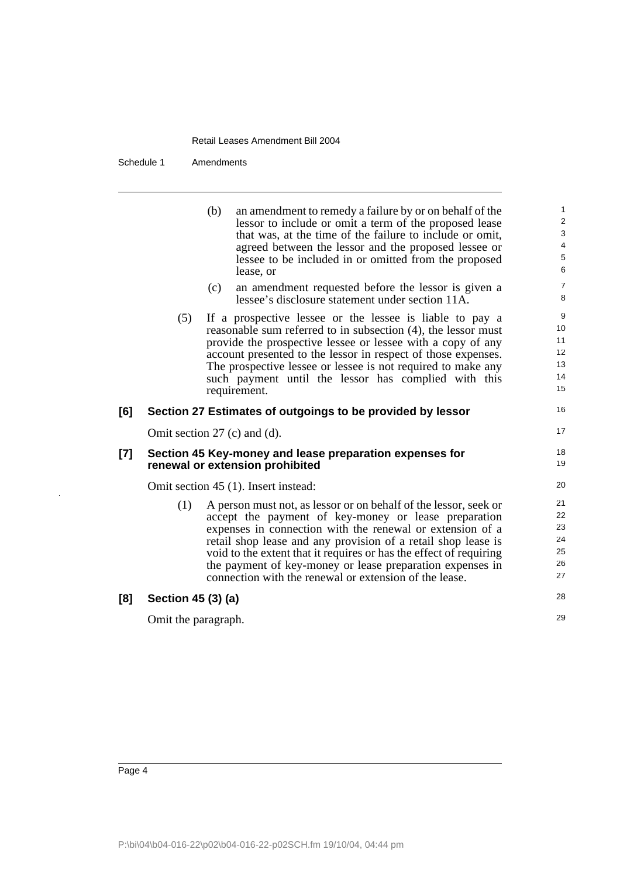Schedule 1 Amendments

|     |                     | (b)<br>an amendment to remedy a failure by or on behalf of the<br>lessor to include or omit a term of the proposed lease<br>that was, at the time of the failure to include or omit,<br>agreed between the lessor and the proposed lessee or<br>lessee to be included in or omitted from the proposed<br>lease, or<br>an amendment requested before the lessor is given a<br>(c)                                                                    | $\mathbf{1}$<br>2<br>3<br>$\overline{4}$<br>5<br>6<br>$\overline{7}$ |
|-----|---------------------|-----------------------------------------------------------------------------------------------------------------------------------------------------------------------------------------------------------------------------------------------------------------------------------------------------------------------------------------------------------------------------------------------------------------------------------------------------|----------------------------------------------------------------------|
|     |                     | lessee's disclosure statement under section 11A.                                                                                                                                                                                                                                                                                                                                                                                                    | 8                                                                    |
|     | (5)                 | If a prospective lessee or the lessee is liable to pay a<br>reasonable sum referred to in subsection (4), the lessor must<br>provide the prospective lessee or lessee with a copy of any<br>account presented to the lessor in respect of those expenses.<br>The prospective lessee or lessee is not required to make any<br>such payment until the lessor has complied with this<br>requirement.                                                   | 9<br>10<br>11<br>12<br>13<br>14<br>15                                |
| [6] |                     | Section 27 Estimates of outgoings to be provided by lessor                                                                                                                                                                                                                                                                                                                                                                                          | 16                                                                   |
|     |                     | Omit section 27 (c) and (d).                                                                                                                                                                                                                                                                                                                                                                                                                        | 17                                                                   |
| [7] |                     | Section 45 Key-money and lease preparation expenses for<br>renewal or extension prohibited                                                                                                                                                                                                                                                                                                                                                          | 18<br>19                                                             |
|     |                     | Omit section 45 (1). Insert instead:                                                                                                                                                                                                                                                                                                                                                                                                                | 20                                                                   |
|     | (1)                 | A person must not, as lessor or on behalf of the lessor, seek or<br>accept the payment of key-money or lease preparation<br>expenses in connection with the renewal or extension of a<br>retail shop lease and any provision of a retail shop lease is<br>void to the extent that it requires or has the effect of requiring<br>the payment of key-money or lease preparation expenses in<br>connection with the renewal or extension of the lease. | 21<br>22<br>23<br>24<br>25<br>26<br>27                               |
| [8] | Section 45 (3) (a)  |                                                                                                                                                                                                                                                                                                                                                                                                                                                     | 28                                                                   |
|     | Omit the paragraph. |                                                                                                                                                                                                                                                                                                                                                                                                                                                     | 29                                                                   |
|     |                     |                                                                                                                                                                                                                                                                                                                                                                                                                                                     |                                                                      |

**[8]**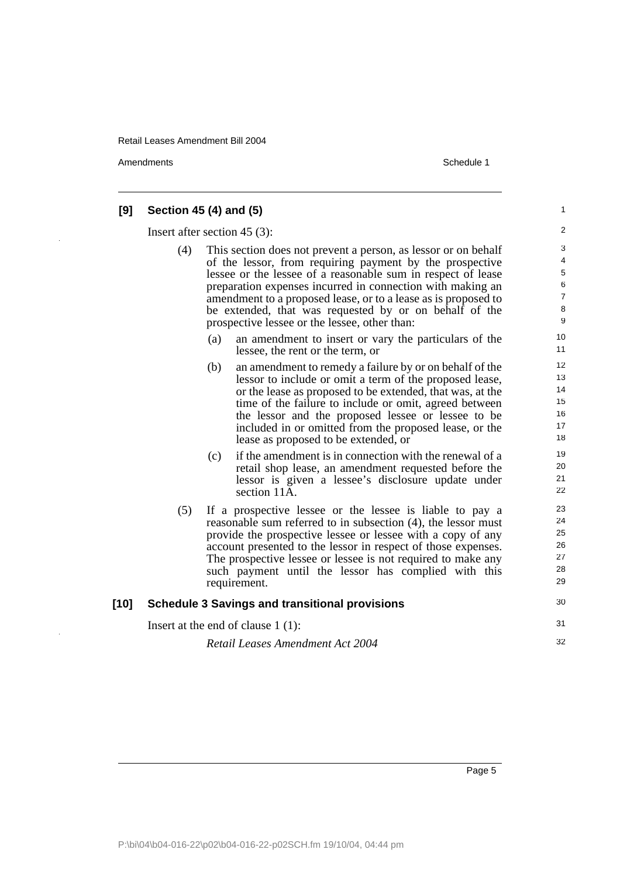Amendments **Amendments** Schedule 1

### **[9] Section 45 (4) and (5)** Insert after section 45 (3): (4) This section does not prevent a person, as lessor or on behalf of the lessor, from requiring payment by the prospective lessee or the lessee of a reasonable sum in respect of lease preparation expenses incurred in connection with making an amendment to a proposed lease, or to a lease as is proposed to be extended, that was requested by or on behalf of the prospective lessee or the lessee, other than: (a) an amendment to insert or vary the particulars of the lessee, the rent or the term, or (b) an amendment to remedy a failure by or on behalf of the lessor to include or omit a term of the proposed lease, or the lease as proposed to be extended, that was, at the time of the failure to include or omit, agreed between the lessor and the proposed lessee or lessee to be included in or omitted from the proposed lease, or the lease as proposed to be extended, or (c) if the amendment is in connection with the renewal of a retail shop lease, an amendment requested before the lessor is given a lessee's disclosure update under section 11A. (5) If a prospective lessee or the lessee is liable to pay a reasonable sum referred to in subsection (4), the lessor must provide the prospective lessee or lessee with a copy of any account presented to the lessor in respect of those expenses. The prospective lessee or lessee is not required to make any such payment until the lessor has complied with this requirement. **[10] Schedule 3 Savings and transitional provisions** Insert at the end of clause 1 (1): *Retail Leases Amendment Act 2004* 1  $\mathfrak{p}$ 3 4 5 6 7 8 9 10 11 12 13 14 15 16 17 18 19 20 21 22 23 24 25 26 27 28 29 30 31 32